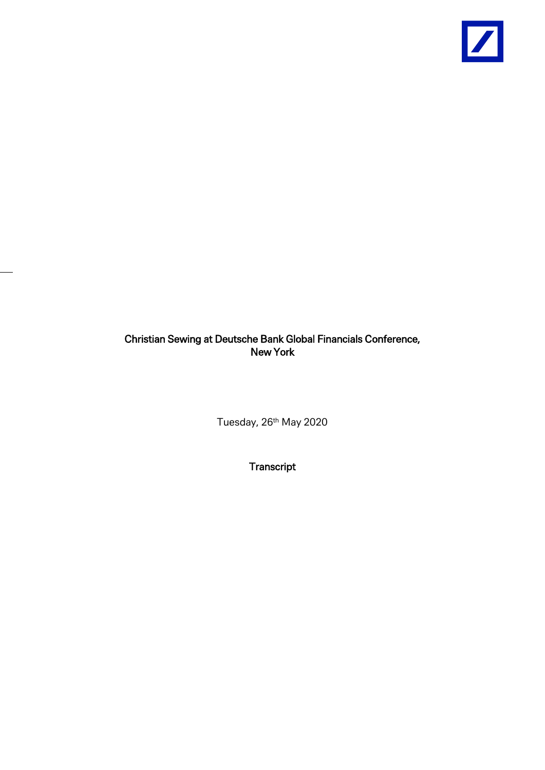

# Christian Sewing at Deutsche Bank Global Financials Conference, New York

Tuesday, 26<sup>th</sup> May 2020

**Transcript**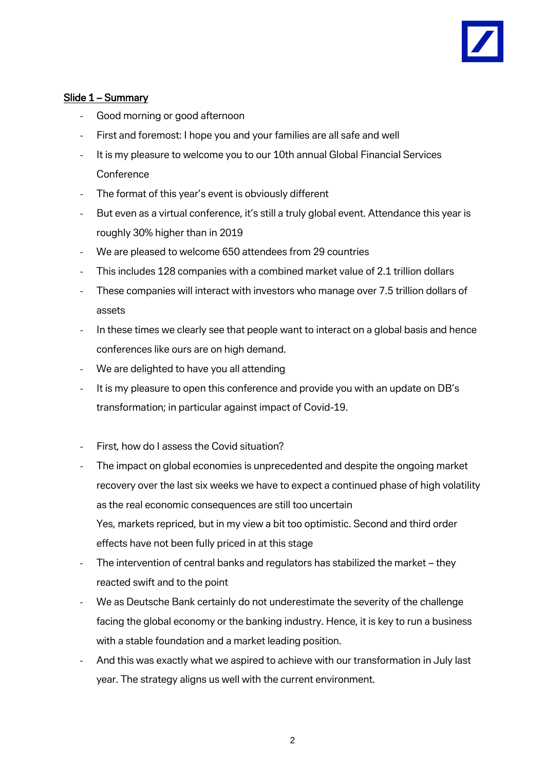

### Slide 1 – Summary

- Good morning or good afternoon
- First and foremost: I hope you and your families are all safe and well
- It is my pleasure to welcome you to our 10th annual Global Financial Services **Conference**
- The format of this year's event is obviously different
- But even as a virtual conference, it's still a truly global event. Attendance this year is roughly 30% higher than in 2019
- We are pleased to welcome 650 attendees from 29 countries
- This includes 128 companies with a combined market value of 2.1 trillion dollars
- These companies will interact with investors who manage over 7.5 trillion dollars of assets
- In these times we clearly see that people want to interact on a global basis and hence conferences like ours are on high demand.
- We are delighted to have you all attending
- It is my pleasure to open this conference and provide you with an update on DB's transformation; in particular against impact of Covid-19.
- First, how do I assess the Covid situation?
- The impact on global economies is unprecedented and despite the ongoing market recovery over the last six weeks we have to expect a continued phase of high volatility as the real economic consequences are still too uncertain Yes, markets repriced, but in my view a bit too optimistic. Second and third order effects have not been fully priced in at this stage
- The intervention of central banks and regulators has stabilized the market they reacted swift and to the point
- We as Deutsche Bank certainly do not underestimate the severity of the challenge facing the global economy or the banking industry. Hence, it is key to run a business with a stable foundation and a market leading position.
- And this was exactly what we aspired to achieve with our transformation in July last year. The strategy aligns us well with the current environment.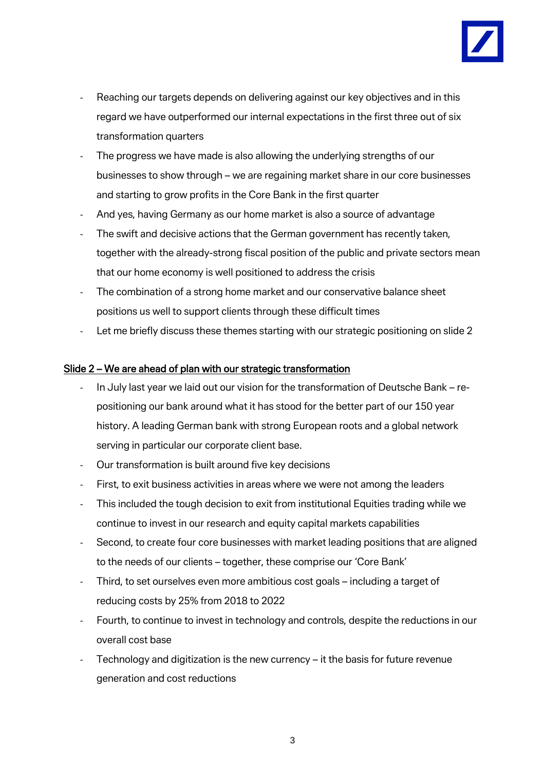

- Reaching our targets depends on delivering against our key objectives and in this regard we have outperformed our internal expectations in the first three out of six transformation quarters
- The progress we have made is also allowing the underlying strengths of our businesses to show through – we are regaining market share in our core businesses and starting to grow profits in the Core Bank in the first quarter
- And yes, having Germany as our home market is also a source of advantage
- The swift and decisive actions that the German government has recently taken, together with the already-strong fiscal position of the public and private sectors mean that our home economy is well positioned to address the crisis
- The combination of a strong home market and our conservative balance sheet positions us well to support clients through these difficult times
- Let me briefly discuss these themes starting with our strategic positioning on slide 2

#### Slide 2 – We are ahead of plan with our strategic transformation

- In July last year we laid out our vision for the transformation of Deutsche Bank repositioning our bank around what it has stood for the better part of our 150 year history. A leading German bank with strong European roots and a global network serving in particular our corporate client base.
- Our transformation is built around five key decisions
- First, to exit business activities in areas where we were not among the leaders
- This included the tough decision to exit from institutional Equities trading while we continue to invest in our research and equity capital markets capabilities
- Second, to create four core businesses with market leading positions that are aligned to the needs of our clients – together, these comprise our 'Core Bank'
- Third, to set ourselves even more ambitious cost goals including a target of reducing costs by 25% from 2018 to 2022
- Fourth, to continue to invest in technology and controls, despite the reductions in our overall cost base
- Technology and digitization is the new currency it the basis for future revenue generation and cost reductions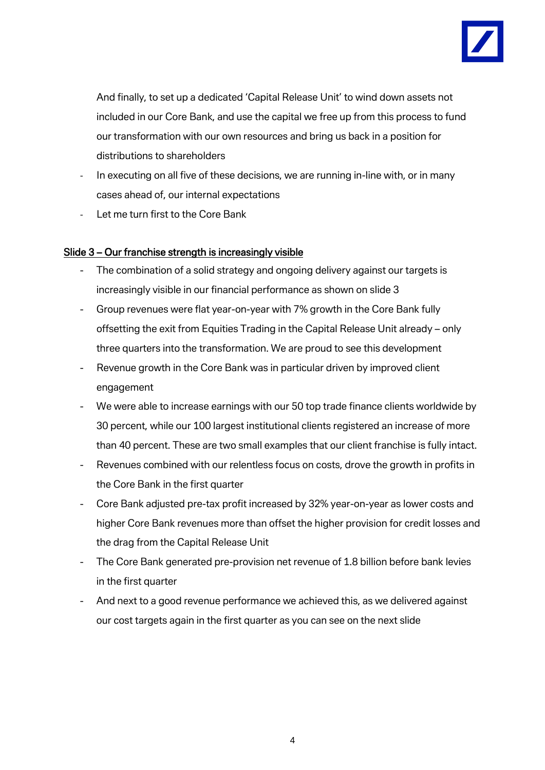

And finally, to set up a dedicated 'Capital Release Unit' to wind down assets not included in our Core Bank, and use the capital we free up from this process to fund our transformation with our own resources and bring us back in a position for distributions to shareholders

- In executing on all five of these decisions, we are running in-line with, or in many cases ahead of, our internal expectations
- Let me turn first to the Core Bank

### Slide 3 – Our franchise strength is increasingly visible

- The combination of a solid strategy and ongoing delivery against our targets is increasingly visible in our financial performance as shown on slide 3
- Group revenues were flat year-on-year with 7% growth in the Core Bank fully offsetting the exit from Equities Trading in the Capital Release Unit already – only three quarters into the transformation. We are proud to see this development
- Revenue growth in the Core Bank was in particular driven by improved client engagement
- We were able to increase earnings with our 50 top trade finance clients worldwide by 30 percent, while our 100 largest institutional clients registered an increase of more than 40 percent. These are two small examples that our client franchise is fully intact.
- Revenues combined with our relentless focus on costs, drove the growth in profits in the Core Bank in the first quarter
- Core Bank adjusted pre-tax profit increased by 32% year-on-year as lower costs and higher Core Bank revenues more than offset the higher provision for credit losses and the drag from the Capital Release Unit
- The Core Bank generated pre-provision net revenue of 1.8 billion before bank levies in the first quarter
- And next to a good revenue performance we achieved this, as we delivered against our cost targets again in the first quarter as you can see on the next slide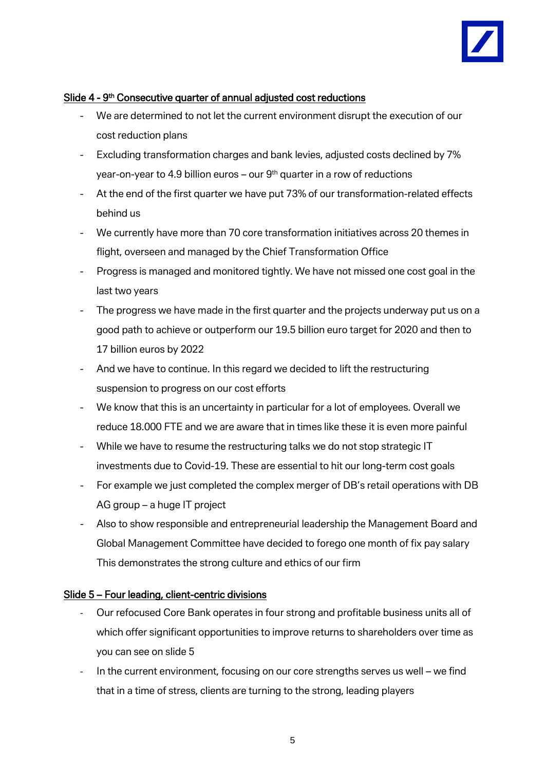

#### Slide 4 - 9<sup>th</sup> Consecutive quarter of annual adjusted cost reductions

- We are determined to not let the current environment disrupt the execution of our cost reduction plans
- Excluding transformation charges and bank levies, adjusted costs declined by 7% year-on-year to 4.9 billion euros – our  $9<sup>th</sup>$  quarter in a row of reductions
- At the end of the first quarter we have put 73% of our transformation-related effects behind us
- We currently have more than 70 core transformation initiatives across 20 themes in flight, overseen and managed by the Chief Transformation Office
- Progress is managed and monitored tightly. We have not missed one cost goal in the last two years
- The progress we have made in the first quarter and the projects underway put us on a good path to achieve or outperform our 19.5 billion euro target for 2020 and then to 17 billion euros by 2022
- And we have to continue. In this regard we decided to lift the restructuring suspension to progress on our cost efforts
- We know that this is an uncertainty in particular for a lot of employees. Overall we reduce 18.000 FTE and we are aware that in times like these it is even more painful
- While we have to resume the restructuring talks we do not stop strategic IT investments due to Covid-19. These are essential to hit our long-term cost goals
- For example we just completed the complex merger of DB's retail operations with DB AG group – a huge IT project
- Also to show responsible and entrepreneurial leadership the Management Board and Global Management Committee have decided to forego one month of fix pay salary This demonstrates the strong culture and ethics of our firm

#### Slide 5 – Four leading, client-centric divisions

- Our refocused Core Bank operates in four strong and profitable business units all of which offer significant opportunities to improve returns to shareholders over time as you can see on slide 5
- In the current environment, focusing on our core strengths serves us well we find that in a time of stress, clients are turning to the strong, leading players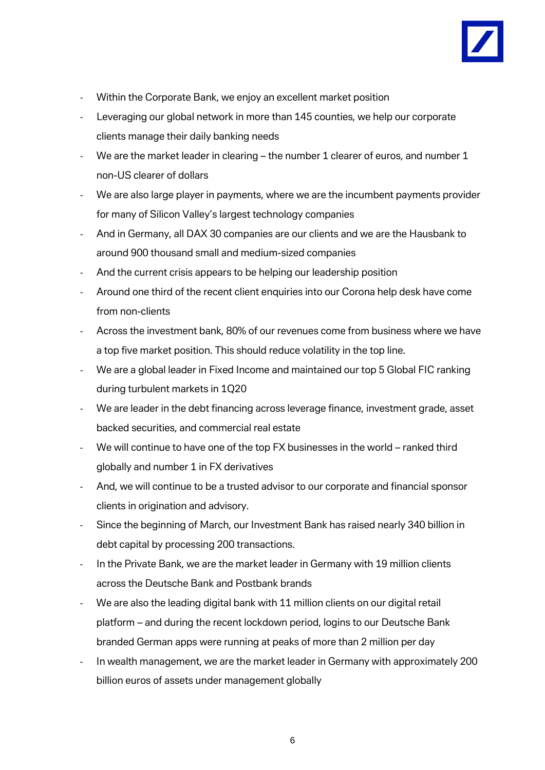

- Within the Corporate Bank, we enjoy an excellent market position
- Leveraging our global network in more than 145 counties, we help our corporate clients manage their daily banking needs
- We are the market leader in clearing the number 1 clearer of euros, and number 1 non-US clearer of dollars
- We are also large player in payments, where we are the incumbent payments provider for many of Silicon Valley's largest technology companies
- And in Germany, all DAX 30 companies are our clients and we are the Hausbank to around 900 thousand small and medium-sized companies
- And the current crisis appears to be helping our leadership position
- Around one third of the recent client enquiries into our Corona help desk have come from non-clients
- Across the investment bank, 80% of our revenues come from business where we have a top five market position. This should reduce volatility in the top line.
- We are a global leader in Fixed Income and maintained our top 5 Global FIC ranking during turbulent markets in 1Q20
- We are leader in the debt financing across leverage finance, investment grade, asset backed securities, and commercial real estate
- We will continue to have one of the top FX businesses in the world ranked third globally and number 1 in FX derivatives
- And, we will continue to be a trusted advisor to our corporate and financial sponsor clients in origination and advisory.
- Since the beginning of March, our Investment Bank has raised nearly 340 billion in debt capital by processing 200 transactions.
- In the Private Bank, we are the market leader in Germany with 19 million clients across the Deutsche Bank and Postbank brands
- We are also the leading digital bank with 11 million clients on our digital retail platform – and during the recent lockdown period, logins to our Deutsche Bank branded German apps were running at peaks of more than 2 million per day
- In wealth management, we are the market leader in Germany with approximately 200 billion euros of assets under management globally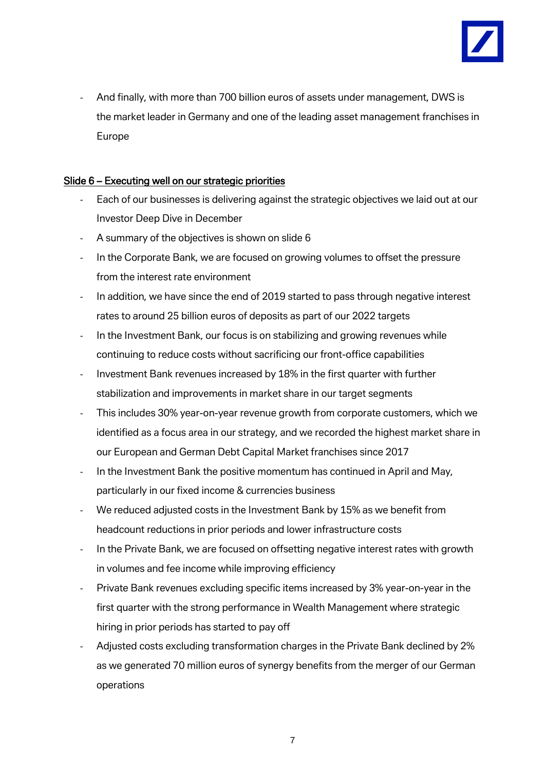

- And finally, with more than 700 billion euros of assets under management, DWS is the market leader in Germany and one of the leading asset management franchises in Europe

## Slide 6 – Executing well on our strategic priorities

- Each of our businesses is delivering against the strategic objectives we laid out at our Investor Deep Dive in December
- A summary of the objectives is shown on slide 6
- In the Corporate Bank, we are focused on growing volumes to offset the pressure from the interest rate environment
- In addition, we have since the end of 2019 started to pass through negative interest rates to around 25 billion euros of deposits as part of our 2022 targets
- In the Investment Bank, our focus is on stabilizing and growing revenues while continuing to reduce costs without sacrificing our front-office capabilities
- Investment Bank revenues increased by 18% in the first quarter with further stabilization and improvements in market share in our target segments
- This includes 30% year-on-year revenue growth from corporate customers, which we identified as a focus area in our strategy, and we recorded the highest market share in our European and German Debt Capital Market franchises since 2017
- In the Investment Bank the positive momentum has continued in April and May, particularly in our fixed income & currencies business
- We reduced adjusted costs in the Investment Bank by 15% as we benefit from headcount reductions in prior periods and lower infrastructure costs
- In the Private Bank, we are focused on offsetting negative interest rates with growth in volumes and fee income while improving efficiency
- Private Bank revenues excluding specific items increased by 3% year-on-year in the first quarter with the strong performance in Wealth Management where strategic hiring in prior periods has started to pay off
- Adjusted costs excluding transformation charges in the Private Bank declined by 2% as we generated 70 million euros of synergy benefits from the merger of our German operations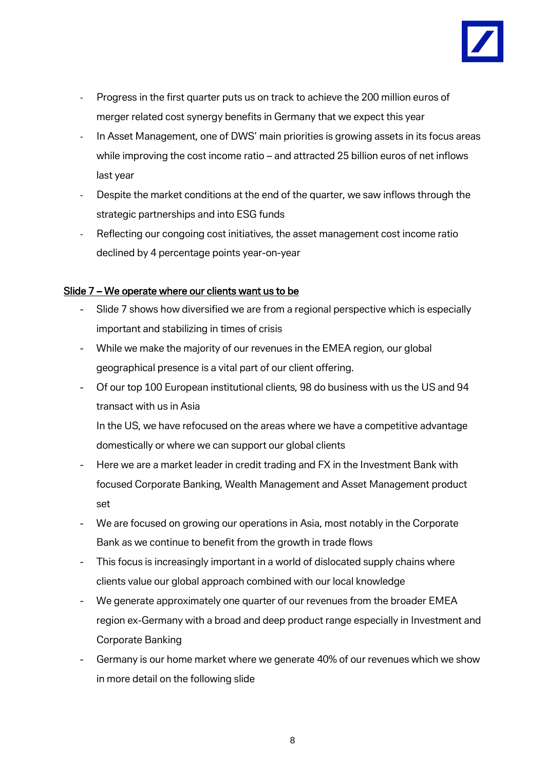

- Progress in the first quarter puts us on track to achieve the 200 million euros of merger related cost synergy benefits in Germany that we expect this year
- In Asset Management, one of DWS' main priorities is growing assets in its focus areas while improving the cost income ratio – and attracted 25 billion euros of net inflows last year
- Despite the market conditions at the end of the quarter, we saw inflows through the strategic partnerships and into ESG funds
- Reflecting our congoing cost initiatives, the asset management cost income ratio declined by 4 percentage points year-on-year

### Slide 7 – We operate where our clients want us to be

- Slide 7 shows how diversified we are from a regional perspective which is especially important and stabilizing in times of crisis
- While we make the majority of our revenues in the EMEA region, our global geographical presence is a vital part of our client offering.
- Of our top 100 European institutional clients, 98 do business with us the US and 94 transact with us in Asia

In the US, we have refocused on the areas where we have a competitive advantage domestically or where we can support our global clients

- Here we are a market leader in credit trading and FX in the Investment Bank with focused Corporate Banking, Wealth Management and Asset Management product set
- We are focused on growing our operations in Asia, most notably in the Corporate Bank as we continue to benefit from the growth in trade flows
- This focus is increasingly important in a world of dislocated supply chains where clients value our global approach combined with our local knowledge
- We generate approximately one quarter of our revenues from the broader EMEA region ex-Germany with a broad and deep product range especially in Investment and Corporate Banking
- Germany is our home market where we generate 40% of our revenues which we show in more detail on the following slide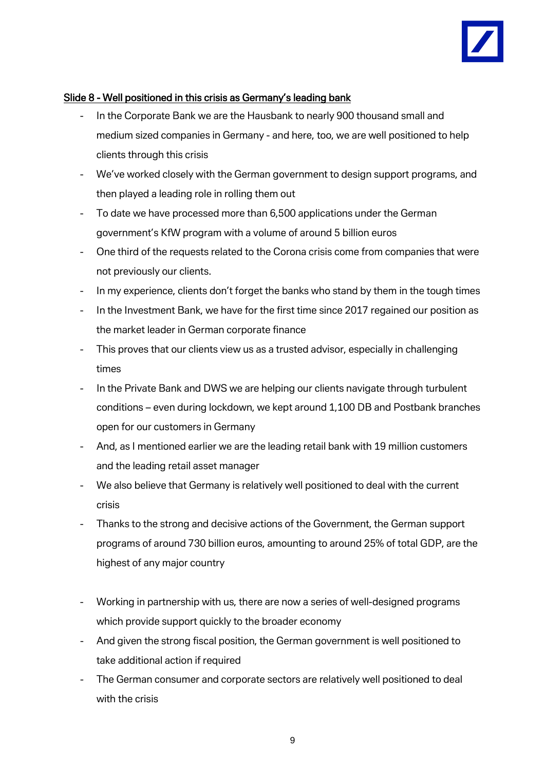

#### Slide 8 - Well positioned in this crisis as Germany's leading bank

- In the Corporate Bank we are the Hausbank to nearly 900 thousand small and medium sized companies in Germany - and here, too, we are well positioned to help clients through this crisis
- We've worked closely with the German government to design support programs, and then played a leading role in rolling them out
- To date we have processed more than 6,500 applications under the German government's KfW program with a volume of around 5 billion euros
- One third of the requests related to the Corona crisis come from companies that were not previously our clients.
- In my experience, clients don't forget the banks who stand by them in the tough times
- In the Investment Bank, we have for the first time since 2017 regained our position as the market leader in German corporate finance
- This proves that our clients view us as a trusted advisor, especially in challenging times
- In the Private Bank and DWS we are helping our clients navigate through turbulent conditions – even during lockdown, we kept around 1,100 DB and Postbank branches open for our customers in Germany
- And, as I mentioned earlier we are the leading retail bank with 19 million customers and the leading retail asset manager
- We also believe that Germany is relatively well positioned to deal with the current crisis
- Thanks to the strong and decisive actions of the Government, the German support programs of around 730 billion euros, amounting to around 25% of total GDP, are the highest of any major country
- Working in partnership with us, there are now a series of well-designed programs which provide support quickly to the broader economy
- And given the strong fiscal position, the German government is well positioned to take additional action if required
- The German consumer and corporate sectors are relatively well positioned to deal with the crisis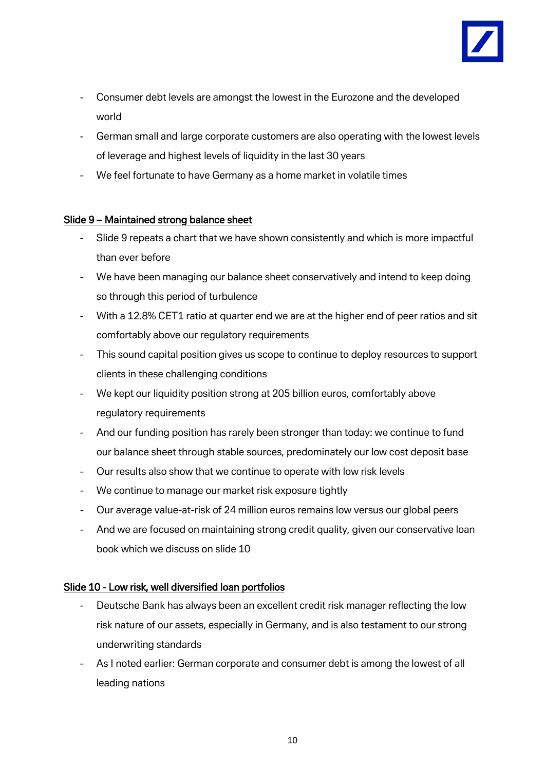

- Consumer debt levels are amongst the lowest in the Eurozone and the developed world
- German small and large corporate customers are also operating with the lowest levels of leverage and highest levels of liquidity in the last 30 years
- We feel fortunate to have Germany as a home market in volatile times

## Slide 9 – Maintained strong balance sheet

- Slide 9 repeats a chart that we have shown consistently and which is more impactful than ever before
- We have been managing our balance sheet conservatively and intend to keep doing so through this period of turbulence
- With a 12.8% CET1 ratio at quarter end we are at the higher end of peer ratios and sit comfortably above our regulatory requirements
- This sound capital position gives us scope to continue to deploy resources to support clients in these challenging conditions
- We kept our liquidity position strong at 205 billion euros, comfortably above regulatory requirements
- And our funding position has rarely been stronger than today: we continue to fund our balance sheet through stable sources, predominately our low cost deposit base
- Our results also show that we continue to operate with low risk levels
- We continue to manage our market risk exposure tightly
- Our average value-at-risk of 24 million euros remains low versus our global peers
- And we are focused on maintaining strong credit quality, given our conservative loan book which we discuss on slide 10

## Slide 10 - Low risk, well diversified loan portfolios

- Deutsche Bank has always been an excellent credit risk manager reflecting the low risk nature of our assets, especially in Germany, and is also testament to our strong underwriting standards
- As I noted earlier: German corporate and consumer debt is among the lowest of all leading nations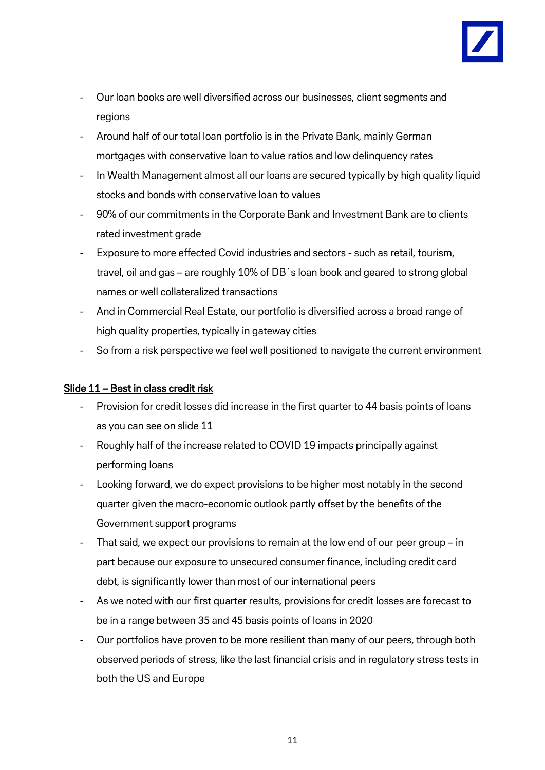

- Our loan books are well diversified across our businesses, client segments and regions
- Around half of our total loan portfolio is in the Private Bank, mainly German mortgages with conservative loan to value ratios and low delinquency rates
- In Wealth Management almost all our loans are secured typically by high quality liquid stocks and bonds with conservative loan to values
- 90% of our commitments in the Corporate Bank and Investment Bank are to clients rated investment grade
- Exposure to more effected Covid industries and sectors such as retail, tourism, travel, oil and gas – are roughly 10% of DB´s loan book and geared to strong global names or well collateralized transactions
- And in Commercial Real Estate, our portfolio is diversified across a broad range of high quality properties, typically in gateway cities
- So from a risk perspective we feel well positioned to navigate the current environment

#### Slide 11 – Best in class credit risk

- Provision for credit losses did increase in the first quarter to 44 basis points of loans as you can see on slide 11
- Roughly half of the increase related to COVID 19 impacts principally against performing loans
- Looking forward, we do expect provisions to be higher most notably in the second quarter given the macro-economic outlook partly offset by the benefits of the Government support programs
- That said, we expect our provisions to remain at the low end of our peer group  $-$  in part because our exposure to unsecured consumer finance, including credit card debt, is significantly lower than most of our international peers
- As we noted with our first quarter results, provisions for credit losses are forecast to be in a range between 35 and 45 basis points of loans in 2020
- Our portfolios have proven to be more resilient than many of our peers, through both observed periods of stress, like the last financial crisis and in regulatory stress tests in both the US and Europe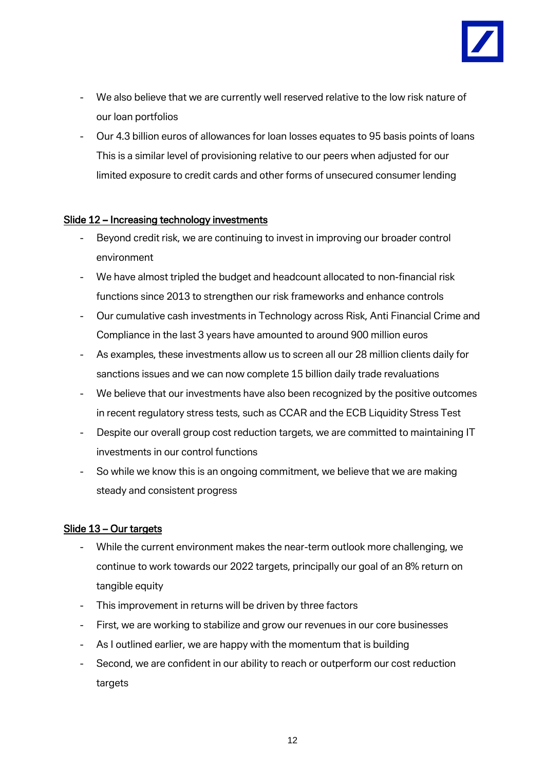

- We also believe that we are currently well reserved relative to the low risk nature of our loan portfolios
- Our 4.3 billion euros of allowances for loan losses equates to 95 basis points of loans This is a similar level of provisioning relative to our peers when adjusted for our limited exposure to credit cards and other forms of unsecured consumer lending

### Slide 12 – Increasing technology investments

- Beyond credit risk, we are continuing to invest in improving our broader control environment
- We have almost tripled the budget and headcount allocated to non-financial risk functions since 2013 to strengthen our risk frameworks and enhance controls
- Our cumulative cash investments in Technology across Risk, Anti Financial Crime and Compliance in the last 3 years have amounted to around 900 million euros
- As examples, these investments allow us to screen all our 28 million clients daily for sanctions issues and we can now complete 15 billion daily trade revaluations
- We believe that our investments have also been recognized by the positive outcomes in recent regulatory stress tests, such as CCAR and the ECB Liquidity Stress Test
- Despite our overall group cost reduction targets, we are committed to maintaining IT investments in our control functions
- So while we know this is an ongoing commitment, we believe that we are making steady and consistent progress

## Slide 13 – Our targets

- While the current environment makes the near-term outlook more challenging, we continue to work towards our 2022 targets, principally our goal of an 8% return on tangible equity
- This improvement in returns will be driven by three factors
- First, we are working to stabilize and grow our revenues in our core businesses
- As I outlined earlier, we are happy with the momentum that is building
- Second, we are confident in our ability to reach or outperform our cost reduction targets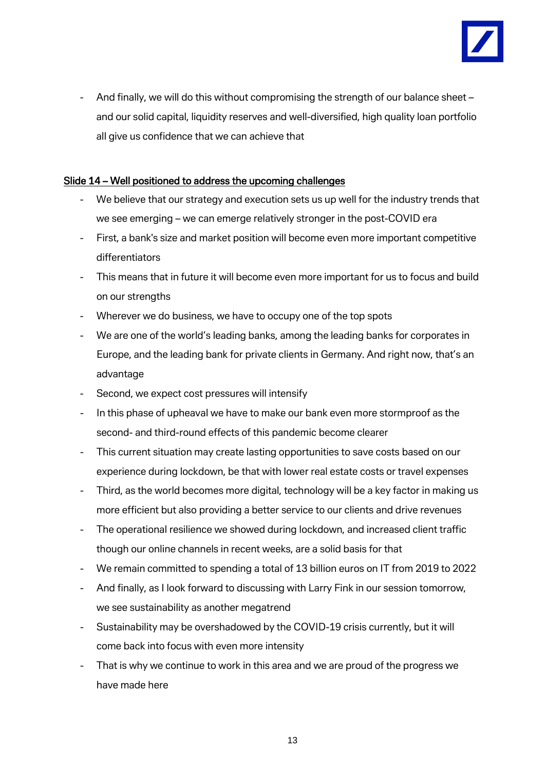

And finally, we will do this without compromising the strength of our balance sheet – and our solid capital, liquidity reserves and well-diversified, high quality loan portfolio all give us confidence that we can achieve that

## Slide 14 – Well positioned to address the upcoming challenges

- We believe that our strategy and execution sets us up well for the industry trends that we see emerging – we can emerge relatively stronger in the post-COVID era
- First, a bank's size and market position will become even more important competitive differentiators
- This means that in future it will become even more important for us to focus and build on our strengths
- Wherever we do business, we have to occupy one of the top spots
- We are one of the world's leading banks, among the leading banks for corporates in Europe, and the leading bank for private clients in Germany. And right now, that's an advantage
- Second, we expect cost pressures will intensify
- In this phase of upheaval we have to make our bank even more stormproof as the second- and third-round effects of this pandemic become clearer
- This current situation may create lasting opportunities to save costs based on our experience during lockdown, be that with lower real estate costs or travel expenses
- Third, as the world becomes more digital, technology will be a key factor in making us more efficient but also providing a better service to our clients and drive revenues
- The operational resilience we showed during lockdown, and increased client traffic though our online channels in recent weeks, are a solid basis for that
- We remain committed to spending a total of 13 billion euros on IT from 2019 to 2022
- And finally, as I look forward to discussing with Larry Fink in our session tomorrow, we see sustainability as another megatrend
- Sustainability may be overshadowed by the COVID-19 crisis currently, but it will come back into focus with even more intensity
- That is why we continue to work in this area and we are proud of the progress we have made here